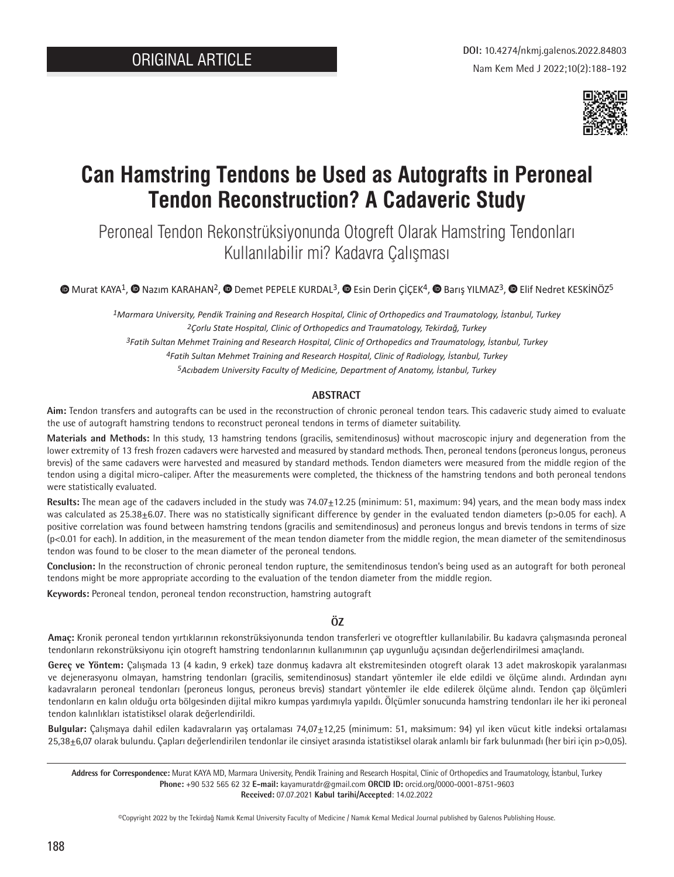

# **Can Hamstring Tendons be Used as Autografts in Peroneal Tendon Reconstruction? A Cadaveric Study**

Peroneal Tendon Rekonstrüksiyonunda Otogreft Olarak Hamstring Tendonları Kullanılabilir mi? Kadavra Çalışması

**MuratKAYA<sup>1</sup>, @Nazım KARAHAN<sup>2</sup>, @Demet PEPELE KURDAL<sup>3</sup>, @Esin Derin ÇİÇEK<sup>4</sup>, @Barış YILMAZ<sup>3</sup>, @Elif Nedret KESKİNÖZ<sup>5</sup>** 

*Marmara University, Pendik Training and Research Hospital, Clinic of Orthopedics and Traumatology, İstanbul, Turkey Çorlu State Hospital, Clinic of Orthopedics and Traumatology, Tekirdağ, Turkey Fatih Sultan Mehmet Training and Research Hospital, Clinic of Orthopedics and Traumatology, İstanbul, Turkey Fatih Sultan Mehmet Training and Research Hospital, Clinic of Radiology, İstanbul, Turkey*

*5Acıbadem University Faculty of Medicine, Department of Anatomy, İstanbul, Turkey*

# **ABSTRACT**

**Aim:** Tendon transfers and autografts can be used in the reconstruction of chronic peroneal tendon tears. This cadaveric study aimed to evaluate the use of autograft hamstring tendons to reconstruct peroneal tendons in terms of diameter suitability.

**Materials and Methods:** In this study, 13 hamstring tendons (gracilis, semitendinosus) without macroscopic injury and degeneration from the lower extremity of 13 fresh frozen cadavers were harvested and measured by standard methods. Then, peroneal tendons (peroneus longus, peroneus brevis) of the same cadavers were harvested and measured by standard methods. Tendon diameters were measured from the middle region of the tendon using a digital micro-caliper. After the measurements were completed, the thickness of the hamstring tendons and both peroneal tendons were statistically evaluated.

**Results:** The mean age of the cadavers included in the study was 74.07±12.25 (minimum: 51, maximum: 94) years, and the mean body mass index was calculated as 25.38 $\pm$ 6.07. There was no statistically significant difference by gender in the evaluated tendon diameters (p>0.05 for each). A positive correlation was found between hamstring tendons (gracilis and semitendinosus) and peroneus longus and brevis tendons in terms of size  $(p<0.01$  for each). In addition, in the measurement of the mean tendon diameter from the middle region, the mean diameter of the semitendinosus tendon was found to be closer to the mean diameter of the peroneal tendons.

**Conclusion:** In the reconstruction of chronic peroneal tendon rupture, the semitendinosus tendon's being used as an autograft for both peroneal tendons might be more appropriate according to the evaluation of the tendon diameter from the middle region.

**Keywords:** Peroneal tendon, peroneal tendon reconstruction, hamstring autograft

## **ÖZ**

**Amaç:** Kronik peroneal tendon yırtıklarının rekonstrüksiyonunda tendon transferleri ve otogreftler kullanılabilir. Bu kadavra çalışmasında peroneal tendonların rekonstrüksiyonu için otogreft hamstring tendonlarının kullanımının çap uygunluğu açısından değerlendirilmesi amaçlandı.

**Gereç ve Yöntem:** Çalışmada 13 (4 kadın, 9 erkek) taze donmuş kadavra alt ekstremitesinden otogreft olarak 13 adet makroskopik yaralanması ve dejenerasyonu olmayan, hamstring tendonları (gracilis, semitendinosus) standart yöntemler ile elde edildi ve ölçüme alındı. Ardından aynı kadavraların peroneal tendonları (peroneus longus, peroneus brevis) standart yöntemler ile elde edilerek ölçüme alındı. Tendon çap ölçümleri tendonların en kalın olduğu orta bölgesinden dijital mikro kumpas yardımıyla yapıldı. Ölçümler sonucunda hamstring tendonları ile her iki peroneal tendon kalınlıkları istatistiksel olarak değerlendirildi.

**Bulgular:** Çalışmaya dahil edilen kadavraların yaş ortalaması 74,07±12,25 (minimum: 51, maksimum: 94) yıl iken vücut kitle indeksi ortalaması 25,38±6,07 olarak bulundu. Çapları değerlendirilen tendonlar ile cinsiyet arasında istatistiksel olarak anlamlı bir fark bulunmadı (her biri için p>0,05).

**Address for Correspondence:** Murat KAYA MD, Marmara University, Pendik Training and Research Hospital, Clinic of Orthopedics and Traumatology, İstanbul, Turkey **Phone:** +90 532 565 62 32 **E-mail:** kayamuratdr@gmail.com **ORCID ID:** orcid.org/0000-0001-8751-9603 **Received:** 07.07.2021 **Kabul tarihi/Accepted**: 14.02.2022

©Copyright 2022 by the Tekirdağ Namık Kemal University Faculty of Medicine / Namık Kemal Medical Journal published by Galenos Publishing House.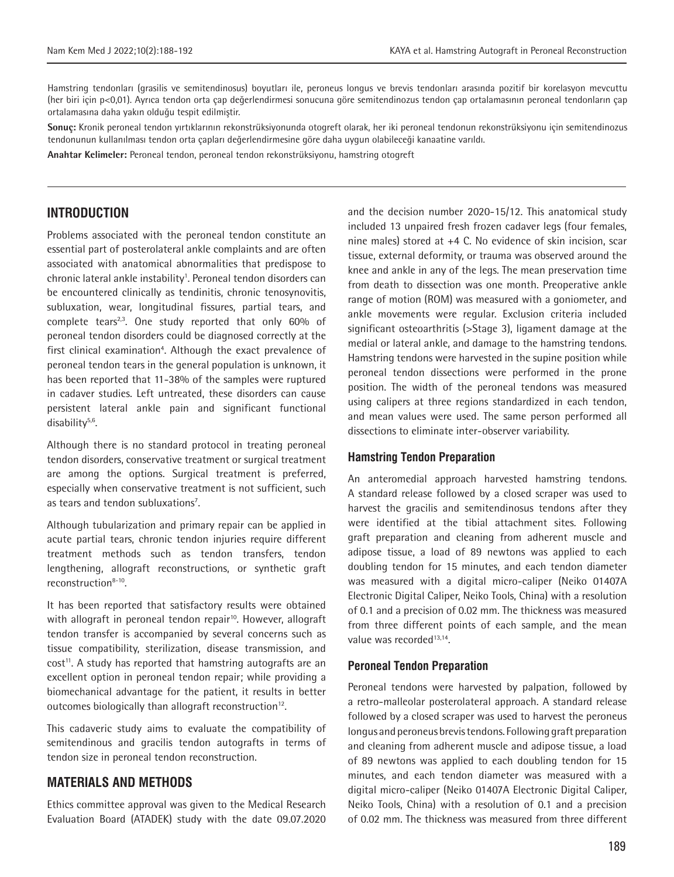Hamstring tendonları (grasilis ve semitendinosus) boyutları ile, peroneus longus ve brevis tendonları arasında pozitif bir korelasyon mevcuttu (her biri için p<0,01). Ayrıca tendon orta çap değerlendirmesi sonucuna göre semitendinozus tendon çap ortalamasının peroneal tendonların çap ortalamasına daha yakın olduğu tespit edilmiştir.

**Sonuç:** Kronik peroneal tendon yırtıklarının rekonstrüksiyonunda otogreft olarak, her iki peroneal tendonun rekonstrüksiyonu için semitendinozus tendonunun kullanılması tendon orta çapları değerlendirmesine göre daha uygun olabileceği kanaatine varıldı.

**Anahtar Kelimeler:** Peroneal tendon, peroneal tendon rekonstrüksiyonu, hamstring otogreft

# **INTRODUCTION**

Problems associated with the peroneal tendon constitute an essential part of posterolateral ankle complaints and are often associated with anatomical abnormalities that predispose to chronic lateral ankle instability<sup>1</sup>. Peroneal tendon disorders can be encountered clinically as tendinitis, chronic tenosynovitis, subluxation, wear, longitudinal fissures, partial tears, and complete tears<sup>2,3</sup>. One study reported that only  $60\%$  of peroneal tendon disorders could be diagnosed correctly at the first clinical examination<sup>4</sup>. Although the exact prevalence of peroneal tendon tears in the general population is unknown, it has been reported that 11-38% of the samples were ruptured in cadaver studies. Left untreated, these disorders can cause persistent lateral ankle pain and significant functional disability<sup>5,6</sup>.

Although there is no standard protocol in treating peroneal tendon disorders, conservative treatment or surgical treatment are among the options. Surgical treatment is preferred, especially when conservative treatment is not sufficient, such as tears and tendon subluxations<sup>7</sup>.

Although tubularization and primary repair can be applied in acute partial tears, chronic tendon injuries require different treatment methods such as tendon transfers, tendon lengthening, allograft reconstructions, or synthetic graft reconstruction8-10.

It has been reported that satisfactory results were obtained with allograft in peroneal tendon repair<sup>10</sup>. However, allograft tendon transfer is accompanied by several concerns such as tissue compatibility, sterilization, disease transmission, and cost<sup>11</sup>. A study has reported that hamstring autografts are an excellent option in peroneal tendon repair; while providing a biomechanical advantage for the patient, it results in better outcomes biologically than allograft reconstruction<sup>12</sup>.

This cadaveric study aims to evaluate the compatibility of semitendinous and gracilis tendon autografts in terms of tendon size in peroneal tendon reconstruction.

# **MATERIALS AND METHODS**

Ethics committee approval was given to the Medical Research Evaluation Board (ATADEK) study with the date 09.07.2020 and the decision number 2020-15/12. This anatomical study included 13 unpaired fresh frozen cadaver legs (four females, nine males) stored at +4 C. No evidence of skin incision, scar tissue, external deformity, or trauma was observed around the knee and ankle in any of the legs. The mean preservation time from death to dissection was one month. Preoperative ankle range of motion (ROM) was measured with a goniometer, and ankle movements were regular. Exclusion criteria included significant osteoarthritis (>Stage 3), ligament damage at the medial or lateral ankle, and damage to the hamstring tendons. Hamstring tendons were harvested in the supine position while peroneal tendon dissections were performed in the prone position. The width of the peroneal tendons was measured using calipers at three regions standardized in each tendon, and mean values were used. The same person performed all dissections to eliminate inter-observer variability.

#### **Hamstring Tendon Preparation**

An anteromedial approach harvested hamstring tendons. A standard release followed by a closed scraper was used to harvest the gracilis and semitendinosus tendons after they were identified at the tibial attachment sites. Following graft preparation and cleaning from adherent muscle and adipose tissue, a load of 89 newtons was applied to each doubling tendon for 15 minutes, and each tendon diameter was measured with a digital micro-caliper (Neiko 01407A Electronic Digital Caliper, Neiko Tools, China) with a resolution of 0.1 and a precision of 0.02 mm. The thickness was measured from three different points of each sample, and the mean value was recorded<sup>13,14</sup>.

### **Peroneal Tendon Preparation**

Peroneal tendons were harvested by palpation, followed by a retro-malleolar posterolateral approach. A standard release followed by a closed scraper was used to harvest the peroneus longus and peroneus brevis tendons. Following graft preparation and cleaning from adherent muscle and adipose tissue, a load of 89 newtons was applied to each doubling tendon for 15 minutes, and each tendon diameter was measured with a digital micro-caliper (Neiko 01407A Electronic Digital Caliper, Neiko Tools, China) with a resolution of 0.1 and a precision of 0.02 mm. The thickness was measured from three different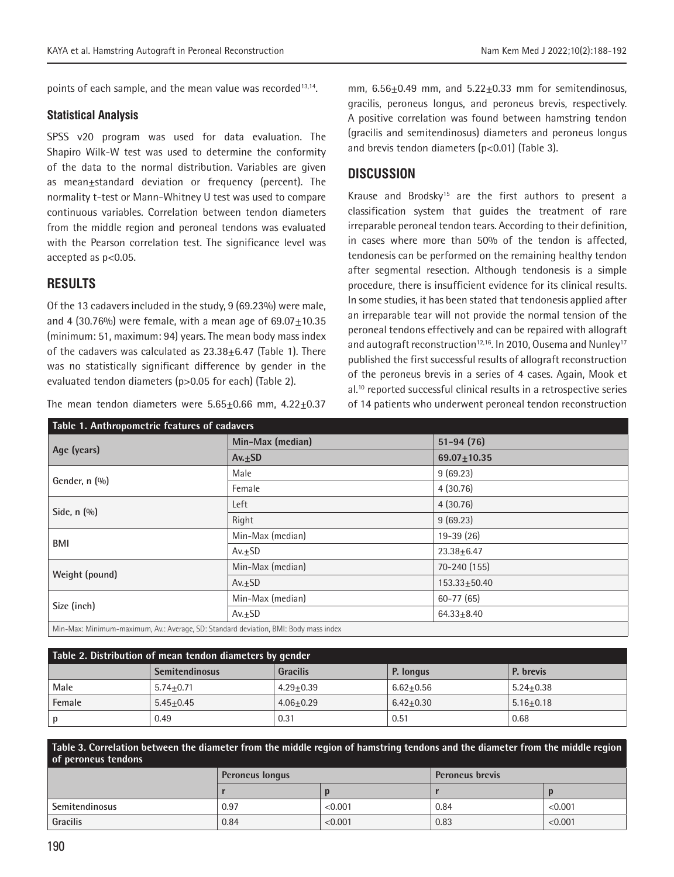points of each sample, and the mean value was recorded<sup>13,14</sup>.

#### **Statistical Analysis**

SPSS v20 program was used for data evaluation. The Shapiro Wilk-W test was used to determine the conformity of the data to the normal distribution. Variables are given as mean±standard deviation or frequency (percent). The normality t-test or Mann-Whitney U test was used to compare continuous variables. Correlation between tendon diameters from the middle region and peroneal tendons was evaluated with the Pearson correlation test. The significance level was accepted as p<0.05.

# **RESULTS**

Of the 13 cadavers included in the study, 9 (69.23%) were male, and 4  $(30.76\%)$  were female, with a mean age of  $69.07+10.35$ (minimum: 51, maximum: 94) years. The mean body mass index of the cadavers was calculated as  $23.38\pm6.47$  (Table 1). There was no statistically significant difference by gender in the evaluated tendon diameters (p>0.05 for each) (Table 2).

The mean tendon diameters were  $5.65\pm0.66$  mm,  $4.22\pm0.37$ 

mm, 6.56±0.49 mm, and 5.22±0.33 mm for semitendinosus, gracilis, peroneus longus, and peroneus brevis, respectively. A positive correlation was found between hamstring tendon (gracilis and semitendinosus) diameters and peroneus longus and brevis tendon diameters (p<0.01) (Table 3).

# **DISCUSSION**

Krause and Brodsky15 are the first authors to present a classification system that guides the treatment of rare irreparable peroneal tendon tears. According to their definition, in cases where more than 50% of the tendon is affected, tendonesis can be performed on the remaining healthy tendon after segmental resection. Although tendonesis is a simple procedure, there is insufficient evidence for its clinical results. In some studies, it has been stated that tendonesis applied after an irreparable tear will not provide the normal tension of the peroneal tendons effectively and can be repaired with allograft and autograft reconstruction<sup>12,16</sup>. In 2010, Ousema and Nunley<sup>17</sup> published the first successful results of allograft reconstruction of the peroneus brevis in a series of 4 cases. Again, Mook et al.<sup>10</sup> reported successful clinical results in a retrospective series of 14 patients who underwent peroneal tendon reconstruction

| Table 1. Anthropometric features of cadavers                                         |                  |                   |  |  |  |
|--------------------------------------------------------------------------------------|------------------|-------------------|--|--|--|
|                                                                                      | Min-Max (median) | $51 - 94(76)$     |  |  |  |
| Age (years)                                                                          | $Av. \pm SD$     | $69.07 \pm 10.35$ |  |  |  |
| Gender, n (%)                                                                        | Male             | 9(69.23)          |  |  |  |
|                                                                                      | Female           | 4(30.76)          |  |  |  |
|                                                                                      | Left             | 4(30.76)          |  |  |  |
| Side, $n$ $(\%)$                                                                     | Right            | 9(69.23)          |  |  |  |
| BMI                                                                                  | Min-Max (median) | $19-39(26)$       |  |  |  |
|                                                                                      | $Av.+SD$         | $23.38 + 6.47$    |  |  |  |
|                                                                                      | Min-Max (median) | 70-240 (155)      |  |  |  |
| Weight (pound)                                                                       | $Av.+SD$         | $153.33 + 50.40$  |  |  |  |
| Size (inch)                                                                          | Min-Max (median) | $60 - 77(65)$     |  |  |  |
|                                                                                      | $Av.+SD$         | $64.33 + 8.40$    |  |  |  |
| Min-Max: Minimum-maximum, Av.: Average, SD: Standard deviation, BMI: Body mass index |                  |                   |  |  |  |

| Table 2. Distribution of mean tendon diameters by gender |                       |                 |               |               |  |  |  |
|----------------------------------------------------------|-----------------------|-----------------|---------------|---------------|--|--|--|
|                                                          | <b>Semitendinosus</b> | <b>Gracilis</b> | P. longus     | P. brevis     |  |  |  |
| Male                                                     | $5.74 + 0.71$         | $4.29 + 0.39$   | $6.62 + 0.56$ | $5.24 + 0.38$ |  |  |  |
| Female                                                   | $5.45 + 0.45$         | $4.06 + 0.29$   | $6.42+0.30$   | $5.16 + 0.18$ |  |  |  |
| $\mathbf{D}$                                             | 0.49                  | 0.31            | 0.51          | 0.68          |  |  |  |

**Table 3. Correlation between the diameter from the middle region of hamstring tendons and the diameter from the middle region of peroneus tendons**

|                | <b>Peroneus longus</b> |         | <b>Peroneus brevis</b> |         |
|----------------|------------------------|---------|------------------------|---------|
|                |                        |         |                        |         |
| Semitendinosus | 0.97                   | < 0.001 | 0.84                   | < 0.001 |
| Gracilis       | 0.84                   | < 0.001 | 0.83                   | < 0.001 |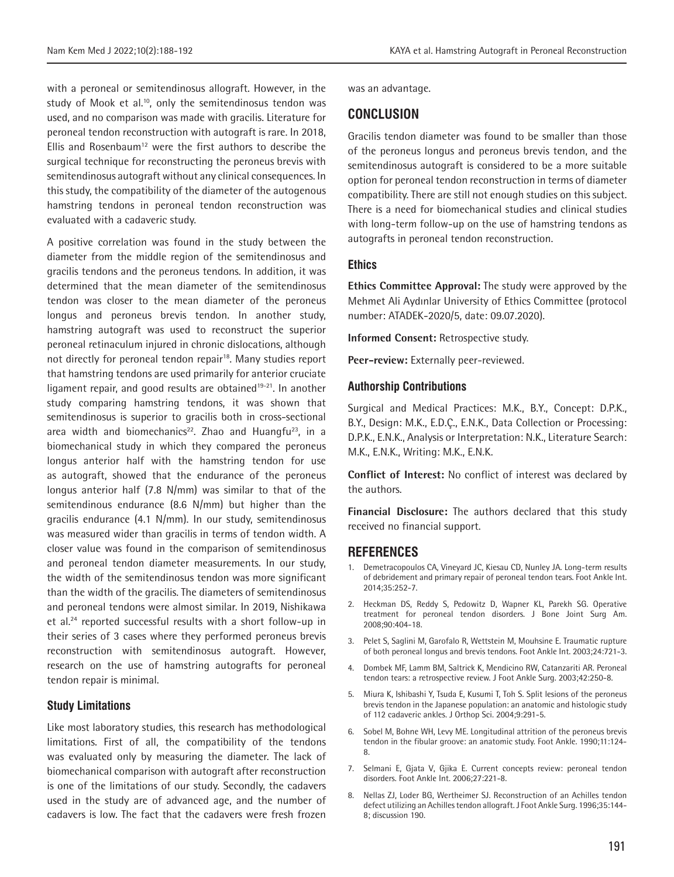with a peroneal or semitendinosus allograft. However, in the study of Mook et al.<sup>10</sup>, only the semitendinosus tendon was used, and no comparison was made with gracilis. Literature for peroneal tendon reconstruction with autograft is rare. In 2018, Ellis and Rosenbaum<sup>12</sup> were the first authors to describe the surgical technique for reconstructing the peroneus brevis with semitendinosus autograft without any clinical consequences. In this study, the compatibility of the diameter of the autogenous hamstring tendons in peroneal tendon reconstruction was evaluated with a cadaveric study.

A positive correlation was found in the study between the diameter from the middle region of the semitendinosus and gracilis tendons and the peroneus tendons. In addition, it was determined that the mean diameter of the semitendinosus tendon was closer to the mean diameter of the peroneus longus and peroneus brevis tendon. In another study, hamstring autograft was used to reconstruct the superior peroneal retinaculum injured in chronic dislocations, although not directly for peroneal tendon repair<sup>18</sup>. Many studies report that hamstring tendons are used primarily for anterior cruciate ligament repair, and good results are obtained<sup>19-21</sup>. In another study comparing hamstring tendons, it was shown that semitendinosus is superior to gracilis both in cross-sectional area width and biomechanics<sup>22</sup>. Zhao and Huangfu<sup>23</sup>, in a biomechanical study in which they compared the peroneus longus anterior half with the hamstring tendon for use as autograft, showed that the endurance of the peroneus longus anterior half (7.8 N/mm) was similar to that of the semitendinous endurance (8.6 N/mm) but higher than the gracilis endurance (4.1 N/mm). In our study, semitendinosus was measured wider than gracilis in terms of tendon width. A closer value was found in the comparison of semitendinosus and peroneal tendon diameter measurements. In our study, the width of the semitendinosus tendon was more significant than the width of the gracilis. The diameters of semitendinosus and peroneal tendons were almost similar. In 2019, Nishikawa et al.<sup>24</sup> reported successful results with a short follow-up in their series of 3 cases where they performed peroneus brevis reconstruction with semitendinosus autograft. However, research on the use of hamstring autografts for peroneal tendon repair is minimal.

#### **Study Limitations**

Like most laboratory studies, this research has methodological limitations. First of all, the compatibility of the tendons was evaluated only by measuring the diameter. The lack of biomechanical comparison with autograft after reconstruction is one of the limitations of our study. Secondly, the cadavers used in the study are of advanced age, and the number of cadavers is low. The fact that the cadavers were fresh frozen

was an advantage.

# **CONCLUSION**

Gracilis tendon diameter was found to be smaller than those of the peroneus longus and peroneus brevis tendon, and the semitendinosus autograft is considered to be a more suitable option for peroneal tendon reconstruction in terms of diameter compatibility. There are still not enough studies on this subject. There is a need for biomechanical studies and clinical studies with long-term follow-up on the use of hamstring tendons as autografts in peroneal tendon reconstruction.

#### **Ethics**

**Ethics Committee Approval:** The study were approved by the Mehmet Ali Aydınlar University of Ethics Committee (protocol number: ATADEK-2020/5, date: 09.07.2020).

**Informed Consent:** Retrospective study.

**Peer-review:** Externally peer-reviewed.

## **Authorship Contributions**

Surgical and Medical Practices: M.K., B.Y., Concept: D.P.K., B.Y., Design: M.K., E.D.Ç., E.N.K., Data Collection or Processing: D.P.K., E.N.K., Analysis or Interpretation: N.K., Literature Search: M.K., E.N.K., Writing: M.K., E.N.K.

**Conflict of Interest:** No conflict of interest was declared by the authors.

**Financial Disclosure:** The authors declared that this study received no financial support.

### **REFERENCES**

- 1. Demetracopoulos CA, Vineyard JC, Kiesau CD, Nunley JA. Long-term results of debridement and primary repair of peroneal tendon tears. Foot Ankle Int. 2014;35:252-7.
- 2. Heckman DS, Reddy S, Pedowitz D, Wapner KL, Parekh SG. Operative treatment for peroneal tendon disorders. J Bone Joint Surg Am. 2008;90:404-18.
- 3. Pelet S, Saglini M, Garofalo R, Wettstein M, Mouhsine E. Traumatic rupture of both peroneal longus and brevis tendons. Foot Ankle Int. 2003;24:721-3.
- 4. Dombek MF, Lamm BM, Saltrick K, Mendicino RW, Catanzariti AR. Peroneal tendon tears: a retrospective review. J Foot Ankle Surg. 2003;42:250-8.
- 5. Miura K, Ishibashi Y, Tsuda E, Kusumi T, Toh S. Split lesions of the peroneus brevis tendon in the Japanese population: an anatomic and histologic study of 112 cadaveric ankles. J Orthop Sci. 2004;9:291-5.
- 6. Sobel M, Bohne WH, Levy ME. Longitudinal attrition of the peroneus brevis tendon in the fibular groove: an anatomic study. Foot Ankle. 1990;11:124- 8.
- 7. Selmani E, Gjata V, Gjika E. Current concepts review: peroneal tendon disorders. Foot Ankle Int. 2006;27:221-8.
- 8. Nellas ZJ, Loder BG, Wertheimer SJ. Reconstruction of an Achilles tendon defect utilizing an Achilles tendon allograft. J Foot Ankle Surg. 1996;35:144- 8; discussion 190.